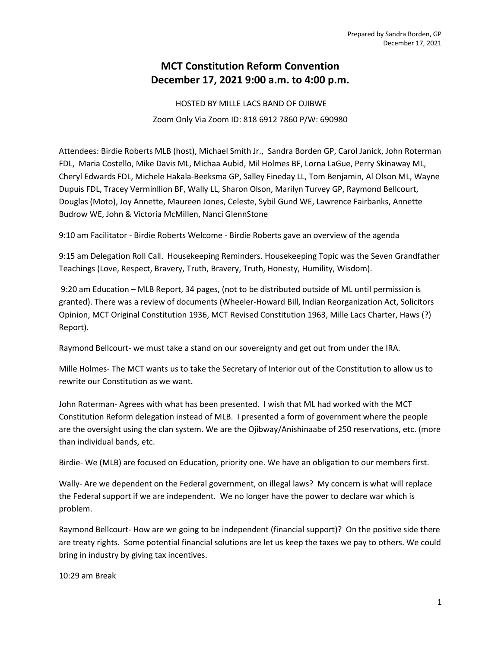## MCT Constitution Reform Convention December 17, 2021 9:00 a.m. to 4:00 p.m.

 HOSTED BY MILLE LACS BAND OF OJIBWE Zoom Only Via Zoom ID: 818 6912 7860 P/W: 690980

Attendees: Birdie Roberts MLB (host), Michael Smith Jr., Sandra Borden GP, Carol Janick, John Roterman FDL, Maria Costello, Mike Davis ML, Michaa Aubid, Mil Holmes BF, Lorna LaGue, Perry Skinaway ML, Cheryl Edwards FDL, Michele Hakala-Beeksma GP, Salley Fineday LL, Tom Benjamin, Al Olson ML, Wayne Dupuis FDL, Tracey Verminllion BF, Wally LL, Sharon Olson, Marilyn Turvey GP, Raymond Bellcourt, Douglas (Moto), Joy Annette, Maureen Jones, Celeste, Sybil Gund WE, Lawrence Fairbanks, Annette Budrow WE, John & Victoria McMillen, Nanci GlennStone

9:10 am Facilitator - Birdie Roberts Welcome - Birdie Roberts gave an overview of the agenda

9:15 am Delegation Roll Call. Housekeeping Reminders. Housekeeping Topic was the Seven Grandfather Teachings (Love, Respect, Bravery, Truth, Bravery, Truth, Honesty, Humility, Wisdom).

 9:20 am Education – MLB Report, 34 pages, (not to be distributed outside of ML until permission is granted). There was a review of documents (Wheeler-Howard Bill, Indian Reorganization Act, Solicitors Opinion, MCT Original Constitution 1936, MCT Revised Constitution 1963, Mille Lacs Charter, Haws (?) Report).

Raymond Bellcourt- we must take a stand on our sovereignty and get out from under the IRA.

Mille Holmes- The MCT wants us to take the Secretary of Interior out of the Constitution to allow us to rewrite our Constitution as we want.

John Roterman- Agrees with what has been presented. I wish that ML had worked with the MCT Constitution Reform delegation instead of MLB. I presented a form of government where the people are the oversight using the clan system. We are the Ojibway/Anishinaabe of 250 reservations, etc. (more than individual bands, etc.

Birdie- We (MLB) are focused on Education, priority one. We have an obligation to our members first.

Wally- Are we dependent on the Federal government, on illegal laws? My concern is what will replace the Federal support if we are independent. We no longer have the power to declare war which is problem.

Raymond Bellcourt- How are we going to be independent (financial support)? On the positive side there are treaty rights. Some potential financial solutions are let us keep the taxes we pay to others. We could bring in industry by giving tax incentives.

10:29 am Break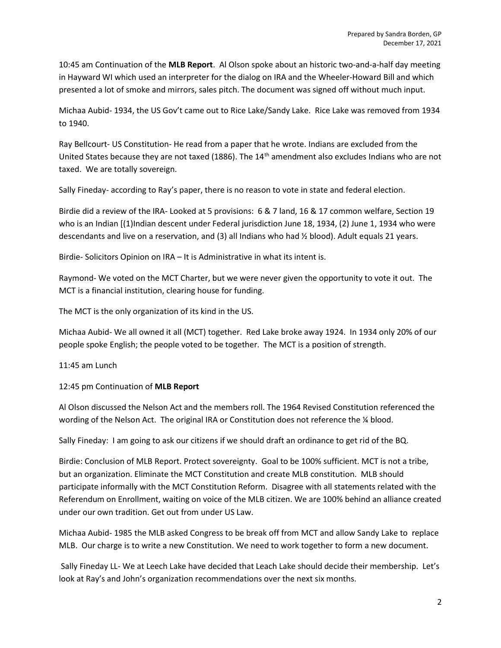10:45 am Continuation of the MLB Report. Al Olson spoke about an historic two-and-a-half day meeting in Hayward WI which used an interpreter for the dialog on IRA and the Wheeler-Howard Bill and which presented a lot of smoke and mirrors, sales pitch. The document was signed off without much input.

Michaa Aubid- 1934, the US Gov't came out to Rice Lake/Sandy Lake. Rice Lake was removed from 1934 to 1940.

Ray Bellcourt- US Constitution- He read from a paper that he wrote. Indians are excluded from the United States because they are not taxed (1886). The 14<sup>th</sup> amendment also excludes Indians who are not taxed. We are totally sovereign.

Sally Fineday- according to Ray's paper, there is no reason to vote in state and federal election.

Birdie did a review of the IRA- Looked at 5 provisions: 6 & 7 land, 16 & 17 common welfare, Section 19 who is an Indian [(1)Indian descent under Federal jurisdiction June 18, 1934, (2) June 1, 1934 who were descendants and live on a reservation, and (3) all Indians who had ½ blood). Adult equals 21 years.

Birdie- Solicitors Opinion on IRA – It is Administrative in what its intent is.

Raymond- We voted on the MCT Charter, but we were never given the opportunity to vote it out. The MCT is a financial institution, clearing house for funding.

The MCT is the only organization of its kind in the US.

Michaa Aubid- We all owned it all (MCT) together. Red Lake broke away 1924. In 1934 only 20% of our people spoke English; the people voted to be together. The MCT is a position of strength.

11:45 am Lunch

12:45 pm Continuation of MLB Report

Al Olson discussed the Nelson Act and the members roll. The 1964 Revised Constitution referenced the wording of the Nelson Act. The original IRA or Constitution does not reference the  $\frac{1}{4}$  blood.

Sally Fineday: I am going to ask our citizens if we should draft an ordinance to get rid of the BQ.

Birdie: Conclusion of MLB Report. Protect sovereignty. Goal to be 100% sufficient. MCT is not a tribe, but an organization. Eliminate the MCT Constitution and create MLB constitution. MLB should participate informally with the MCT Constitution Reform. Disagree with all statements related with the Referendum on Enrollment, waiting on voice of the MLB citizen. We are 100% behind an alliance created under our own tradition. Get out from under US Law.

Michaa Aubid- 1985 the MLB asked Congress to be break off from MCT and allow Sandy Lake to replace MLB. Our charge is to write a new Constitution. We need to work together to form a new document.

 Sally Fineday LL- We at Leech Lake have decided that Leach Lake should decide their membership. Let's look at Ray's and John's organization recommendations over the next six months.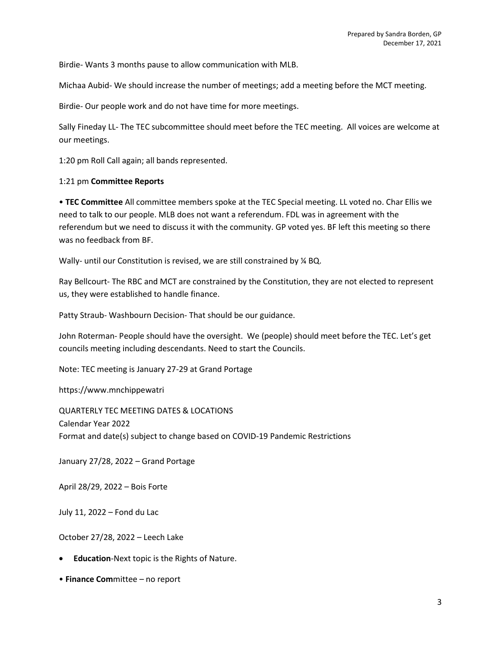Birdie- Wants 3 months pause to allow communication with MLB.

Michaa Aubid- We should increase the number of meetings; add a meeting before the MCT meeting.

Birdie- Our people work and do not have time for more meetings.

Sally Fineday LL- The TEC subcommittee should meet before the TEC meeting. All voices are welcome at our meetings.

1:20 pm Roll Call again; all bands represented.

## 1:21 pm Committee Reports

• TEC Committee All committee members spoke at the TEC Special meeting. LL voted no. Char Ellis we need to talk to our people. MLB does not want a referendum. FDL was in agreement with the referendum but we need to discuss it with the community. GP voted yes. BF left this meeting so there was no feedback from BF.

Wally- until our Constitution is revised, we are still constrained by  $\frac{1}{4}$  BQ.

Ray Bellcourt- The RBC and MCT are constrained by the Constitution, they are not elected to represent us, they were established to handle finance.

Patty Straub- Washbourn Decision- That should be our guidance.

John Roterman- People should have the oversight. We (people) should meet before the TEC. Let's get councils meeting including descendants. Need to start the Councils.

Note: TEC meeting is January 27-29 at Grand Portage

https://www.mnchippewatri

QUARTERLY TEC MEETING DATES & LOCATIONS Calendar Year 2022 Format and date(s) subject to change based on COVID-19 Pandemic Restrictions

January 27/28, 2022 – Grand Portage

April 28/29, 2022 – Bois Forte

July 11, 2022 – Fond du Lac

October 27/28, 2022 – Leech Lake

- Education-Next topic is the Rights of Nature.
- Finance Committee no report